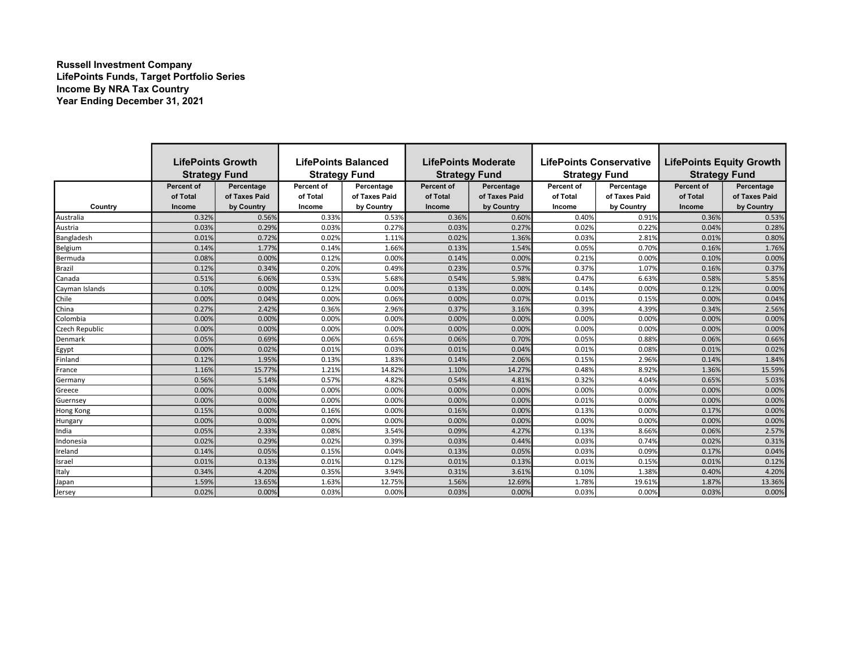## Russell Investment Company LifePoints Funds, Target Portfolio Series Income By NRA Tax Country Year Ending December 31, 2021

|                | <b>LifePoints Growth</b>      |                             | <b>LifePoints Balanced</b> |                             | LifePoints Moderate           |                             | <b>LifePoints Conservative</b> |                             | <b>LifePoints Equity Growth</b> |                             |
|----------------|-------------------------------|-----------------------------|----------------------------|-----------------------------|-------------------------------|-----------------------------|--------------------------------|-----------------------------|---------------------------------|-----------------------------|
|                | <b>Strategy Fund</b>          |                             | <b>Strategy Fund</b>       |                             | <b>Strategy Fund</b>          |                             | <b>Strategy Fund</b>           |                             | <b>Strategy Fund</b>            |                             |
|                | <b>Percent of</b><br>of Total | Percentage<br>of Taxes Paid | Percent of<br>of Total     | Percentage<br>of Taxes Paid | <b>Percent of</b><br>of Total | Percentage<br>of Taxes Paid | Percent of<br>of Total         | Percentage<br>of Taxes Paid | <b>Percent of</b><br>of Total   | Percentage<br>of Taxes Paid |
| Country        | Income                        | by Country                  | Income                     | by Country                  | <b>Income</b>                 | by Country                  | Income                         | by Country                  | <b>Income</b>                   | by Country                  |
| Australia      | 0.32%                         | 0.56%                       | 0.33%                      | 0.53%                       | 0.36%                         | 0.60%                       | 0.40%                          | 0.91%                       | 0.36%                           | 0.53%                       |
| Austria        | 0.03%                         | 0.29%                       | 0.03%                      | 0.27%                       | 0.03%                         | 0.27%                       | 0.02%                          | 0.22%                       | 0.04%                           | 0.28%                       |
| Bangladesh     | 0.01%                         | 0.72%                       | 0.02%                      | 1.11%                       | 0.02%                         | 1.36%                       | 0.03%                          | 2.81%                       | 0.01%                           | 0.80%                       |
| Belgium        | 0.14%                         | 1.77%                       | 0.14%                      | 1.66%                       | 0.13%                         | 1.54%                       | 0.05%                          | 0.70%                       | 0.16%                           | 1.76%                       |
| Bermuda        | 0.08%                         | 0.00%                       | 0.12%                      | 0.00%                       | 0.14%                         | 0.00%                       | 0.21%                          | 0.00%                       | 0.10%                           | 0.00%                       |
| Brazil         | 0.12%                         | 0.34%                       | 0.20%                      | 0.49%                       | 0.23%                         | 0.57%                       | 0.37%                          | 1.07%                       | 0.16%                           | 0.37%                       |
| Canada         | 0.51%                         | 6.06%                       | 0.53%                      | 5.68%                       | 0.54%                         | 5.98%                       | 0.47%                          | 6.63%                       | 0.58%                           | 5.85%                       |
| Cayman Islands | 0.10%                         | 0.00%                       | 0.12%                      | 0.00%                       | 0.13%                         | 0.00%                       | 0.14%                          | 0.00%                       | 0.12%                           | 0.00%                       |
| Chile          | 0.00%                         | 0.04%                       | 0.00%                      | 0.06%                       | 0.00%                         | 0.07%                       | 0.01%                          | 0.15%                       | 0.00%                           | 0.04%                       |
| China          | 0.27%                         | 2.42%                       | 0.36%                      | 2.96%                       | 0.37%                         | 3.16%                       | 0.39%                          | 4.39%                       | 0.34%                           | 2.56%                       |
| Colombia       | 0.00%                         | 0.00%                       | 0.00%                      | 0.00%                       | 0.00%                         | 0.00%                       | 0.00%                          | 0.00%                       | 0.00%                           | 0.00%                       |
| Czech Republic | 0.00%                         | 0.00%                       | 0.00%                      | 0.00%                       | 0.00%                         | 0.00%                       | 0.00%                          | 0.00%                       | 0.00%                           | 0.00%                       |
| Denmark        | 0.05%                         | 0.69%                       | 0.06%                      | 0.65%                       | 0.06%                         | 0.70%                       | 0.05%                          | 0.88%                       | 0.06%                           | 0.66%                       |
| Egypt          | 0.00%                         | 0.02%                       | 0.01%                      | 0.03%                       | 0.01%                         | 0.04%                       | 0.01%                          | 0.08%                       | 0.01%                           | 0.02%                       |
| Finland        | 0.12%                         | 1.95%                       | 0.13%                      | 1.83%                       | 0.14%                         | 2.06%                       | 0.15%                          | 2.96%                       | 0.14%                           | 1.84%                       |
| France         | 1.16%                         | 15.77%                      | 1.21%                      | 14.82%                      | 1.10%                         | 14.27%                      | 0.48%                          | 8.92%                       | 1.36%                           | 15.59%                      |
| Germany        | 0.56%                         | 5.14%                       | 0.57%                      | 4.82%                       | 0.54%                         | 4.81%                       | 0.32%                          | 4.04%                       | 0.65%                           | 5.03%                       |
| Greece         | 0.00%                         | 0.00%                       | 0.00%                      | 0.00%                       | 0.00%                         | 0.00%                       | 0.00%                          | 0.00%                       | 0.00%                           | 0.00%                       |
| Guernsey       | 0.00%                         | 0.00%                       | 0.00%                      | 0.00%                       | 0.00%                         | 0.00%                       | 0.01%                          | 0.00%                       | 0.00%                           | 0.00%                       |
| Hong Kong      | 0.15%                         | 0.00%                       | 0.16%                      | 0.00%                       | 0.16%                         | 0.00%                       | 0.13%                          | 0.00%                       | 0.17%                           | 0.00%                       |
| Hungary        | 0.00%                         | 0.00%                       | 0.00%                      | 0.00%                       | 0.00%                         | 0.00%                       | 0.00%                          | 0.00%                       | 0.00%                           | 0.00%                       |
| India          | 0.05%                         | 2.33%                       | 0.08%                      | 3.54%                       | 0.09%                         | 4.27%                       | 0.13%                          | 8.66%                       | 0.06%                           | 2.57%                       |
| Indonesia      | 0.02%                         | 0.29%                       | 0.02%                      | 0.39%                       | 0.03%                         | 0.44%                       | 0.03%                          | 0.74%                       | 0.02%                           | 0.31%                       |
| Ireland        | 0.14%                         | 0.05%                       | 0.15%                      | 0.04%                       | 0.13%                         | 0.05%                       | 0.03%                          | 0.09%                       | 0.17%                           | 0.04%                       |
| Israel         | 0.01%                         | 0.13%                       | 0.01%                      | 0.12%                       | 0.01%                         | 0.13%                       | 0.01%                          | 0.15%                       | 0.01%                           | 0.12%                       |
| Italy          | 0.34%                         | 4.20%                       | 0.35%                      | 3.94%                       | 0.31%                         | 3.61%                       | 0.10%                          | 1.38%                       | 0.40%                           | 4.20%                       |
| Japan          | 1.59%                         | 13.65%                      | 1.63%                      | 12.75%                      | 1.56%                         | 12.69%                      | 1.78%                          | 19.619                      | 1.87%                           | 13.36%                      |
| Jersey         | 0.02%                         | 0.00%                       | 0.03%                      | 0.00%                       | 0.03%                         | 0.00%                       | 0.03%                          | 0.00%                       | 0.03%                           | 0.00%                       |